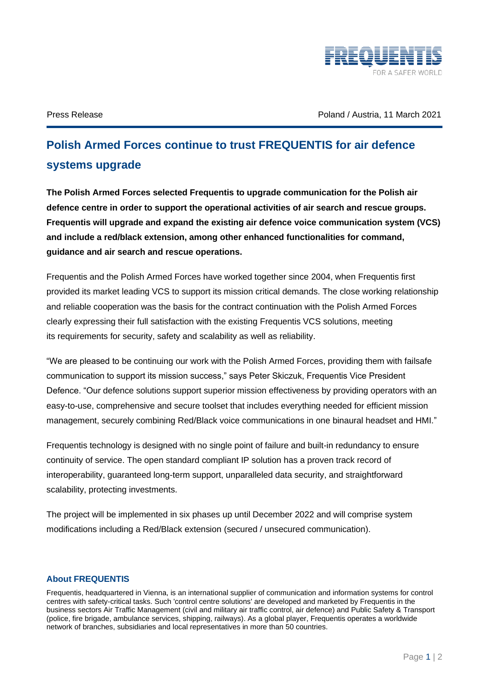

Press Release Poland / Austria, 11 March 2021

## **Polish Armed Forces continue to trust FREQUENTIS for air defence systems upgrade**

**The Polish Armed Forces selected Frequentis to upgrade communication for the Polish air defence centre in order to support the operational activities of air search and rescue groups. Frequentis will upgrade and expand the existing air defence voice communication system (VCS) and include a red/black extension, among other enhanced functionalities for command, guidance and air search and rescue operations.**

Frequentis and the Polish Armed Forces have worked together since 2004, when Frequentis first provided its market leading VCS to support its mission critical demands. The close working relationship and reliable cooperation was the basis for the contract continuation with the Polish Armed Forces clearly expressing their full satisfaction with the existing Frequentis VCS solutions, meeting its requirements for security, safety and scalability as well as reliability.

"We are pleased to be continuing our work with the Polish Armed Forces, providing them with failsafe communication to support its mission success," says Peter Skiczuk, Frequentis Vice President Defence. "Our defence solutions support superior mission effectiveness by providing operators with an easy-to-use, comprehensive and secure toolset that includes everything needed for efficient mission management, securely combining Red/Black voice communications in one binaural headset and HMI."

Frequentis technology is designed with no single point of failure and built-in redundancy to ensure continuity of service. The open standard compliant IP solution has a proven track record of interoperability, guaranteed long-term support, unparalleled data security, and straightforward scalability, protecting investments.

The project will be implemented in six phases up until December 2022 and will comprise system modifications including a Red/Black extension (secured / unsecured communication).

## **About FREQUENTIS**

Frequentis, headquartered in Vienna, is an international supplier of communication and information systems for control centres with safety-critical tasks. Such 'control centre solutions' are developed and marketed by Frequentis in the business sectors Air Traffic Management (civil and military air traffic control, air defence) and Public Safety & Transport (police, fire brigade, ambulance services, shipping, railways). As a global player, Frequentis operates a worldwide network of branches, subsidiaries and local representatives in more than 50 countries.